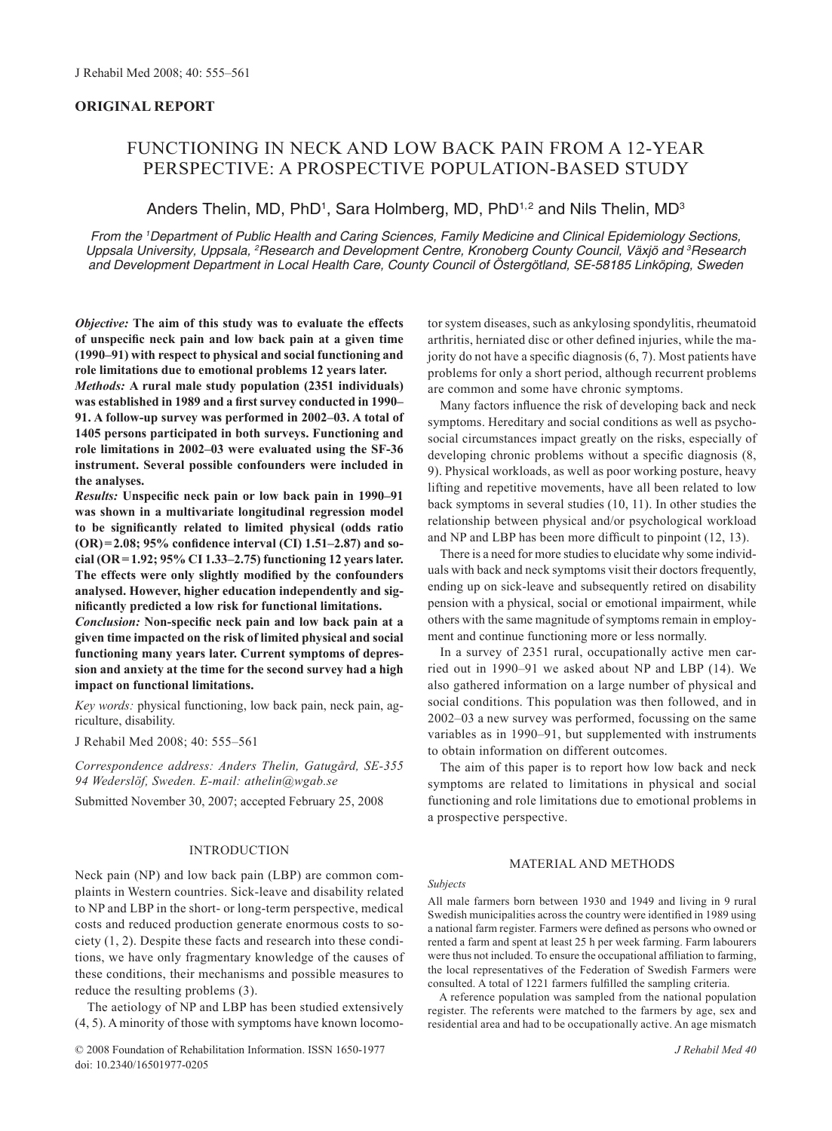# **ORIGINAL REPORT**

# FUNCTIONING IN NECK AND LOW BACK PAIN FROM A 12-YEAR PERSPECTIVE: A PROSPECTIVE POPULATION-BASED STUDY

# Anders Thelin, MD, PhD<sup>1</sup>, Sara Holmberg, MD, PhD<sup>1,2</sup> and Nils Thelin, MD<sup>3</sup>

*From the 1 Department of Public Health and Caring Sciences, Family Medicine and Clinical Epidemiology Sections, Uppsala University, Uppsala, 2 Research and Development Centre, Kronoberg County Council, Växjö and 3 Research and Development Department in Local Health Care, County Council of Östergötland, SE-58185 Linköping, Sweden*

*Objective:* **The aim of this study was to evaluate the effects of unspecific neck pain and low back pain at a given time (1990–91) with respect to physical and social functioning and role limitations due to emotional problems 12 years later.** 

*Methods:* **A rural male study population (2351 individuals) was established in 1989 and a first survey conducted in 1990– 91. A follow-up survey was performed in 2002–03. A total of 1405 persons participated in both surveys. Functioning and role limitations in 2002–03 were evaluated using the SF-36 instrument. Several possible confounders were included in the analyses.**

*Results:* **Unspecific neck pain or low back pain in 1990–91 was shown in a multivariate longitudinal regression model to be significantly related to limited physical (odds ratio (OR)=2.08; 95% confidence interval (CI) 1.51–2.87) and social (OR=1.92; 95% CI 1.33–2.75) functioning 12 years later. The effects were only slightly modified by the confounders analysed. However, higher education independently and significantly predicted a low risk for functional limitations.** 

*Conclusion:* **Non-specific neck pain and low back pain at a given time impacted on the risk of limited physical and social functioning many years later. Current symptoms of depression and anxiety at the time for the second survey had a high impact on functional limitations.** 

*Key words:* physical functioning, low back pain, neck pain, agriculture, disability.

J Rehabil Med 2008; 40: 555–561

*Correspondence address: Anders Thelin, Gatugård, SE-355 94 Wederslöf, Sweden. E-mail: athelin@wgab.se*

Submitted November 30, 2007; accepted February 25, 2008

# **INTRODUCTION**

Neck pain (NP) and low back pain (LBP) are common complaints in Western countries. Sick-leave and disability related to NP and LBP in the short- or long-term perspective, medical costs and reduced production generate enormous costs to society (1, 2). Despite these facts and research into these conditions, we have only fragmentary knowledge of the causes of these conditions, their mechanisms and possible measures to reduce the resulting problems (3).

The aetiology of NP and LBP has been studied extensively (4, 5). A minority of those with symptoms have known locomo-

© 2008 Foundation of Rehabilitation Information. ISSN 1650-1977 *J Rehabil Med 40* doi: 10.2340/16501977-0205

tor system diseases, such as ankylosing spondylitis, rheumatoid arthritis, herniated disc or other defined injuries, while the majority do not have a specific diagnosis (6, 7). Most patients have problems for only a short period, although recurrent problems are common and some have chronic symptoms.

Many factors influence the risk of developing back and neck symptoms. Hereditary and social conditions as well as psychosocial circumstances impact greatly on the risks, especially of developing chronic problems without a specific diagnosis  $(8, 8)$ 9). Physical workloads, as well as poor working posture, heavy lifting and repetitive movements, have all been related to low back symptoms in several studies (10, 11). In other studies the relationship between physical and/or psychological workload and NP and LBP has been more difficult to pinpoint (12, 13).

There is a need for more studies to elucidate why some individuals with back and neck symptoms visit their doctors frequently, ending up on sick-leave and subsequently retired on disability pension with a physical, social or emotional impairment, while others with the same magnitude of symptoms remain in employment and continue functioning more or less normally.

In a survey of 2351 rural, occupationally active men carried out in 1990–91 we asked about NP and LBP (14). We also gathered information on a large number of physical and social conditions. This population was then followed, and in 2002–03 a new survey was performed, focussing on the same variables as in 1990–91, but supplemented with instruments to obtain information on different outcomes.

The aim of this paper is to report how low back and neck symptoms are related to limitations in physical and social functioning and role limitations due to emotional problems in a prospective perspective.

### Material and methods

#### *Subjects*

All male farmers born between 1930 and 1949 and living in 9 rural Swedish municipalities across the country were identified in 1989 using a national farm register. Farmers were defined as persons who owned or rented a farm and spent at least 25 h per week farming. Farm labourers were thus not included. To ensure the occupational affiliation to farming, the local representatives of the Federation of Swedish Farmers were consulted. A total of 1221 farmers fulfilled the sampling criteria.

A reference population was sampled from the national population register. The referents were matched to the farmers by age, sex and residential area and had to be occupationally active. An age mismatch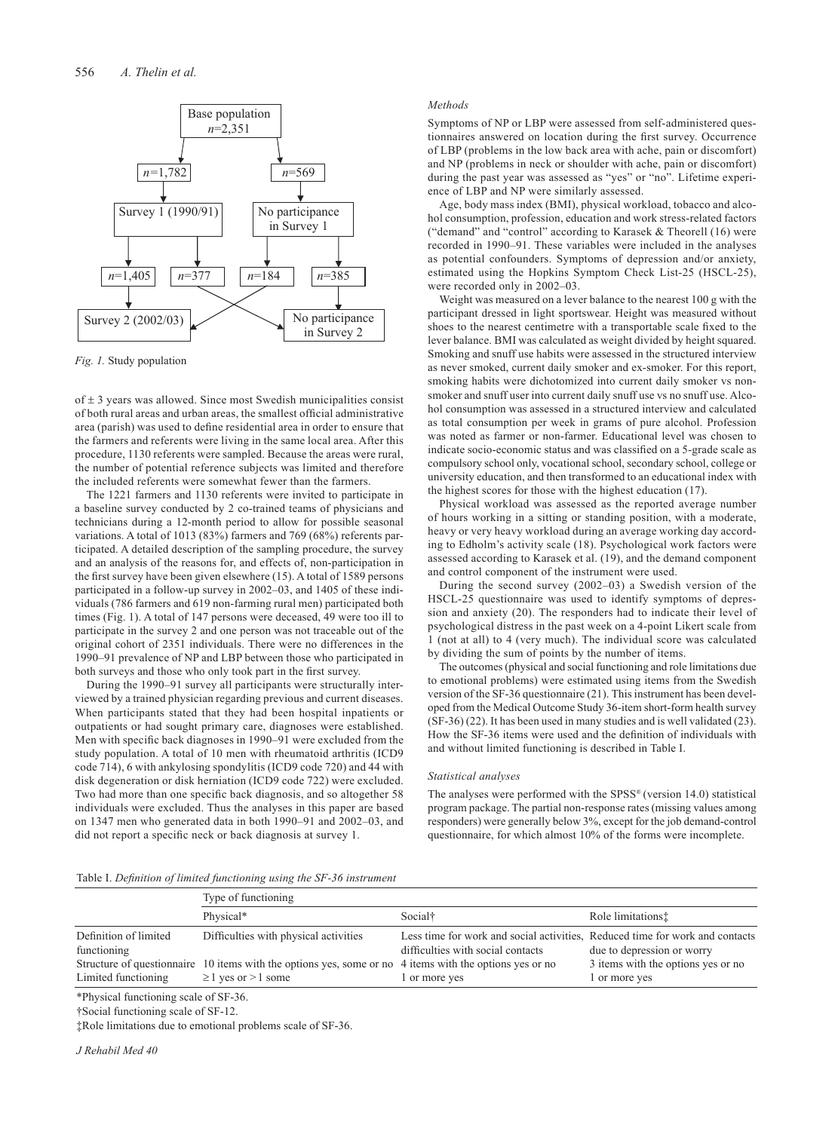

*Fig. 1.* Study population

of  $\pm$  3 years was allowed. Since most Swedish municipalities consist of both rural areas and urban areas, the smallest official administrative area (parish) was used to define residential area in order to ensure that the farmers and referents were living in the same local area. After this procedure, 1130 referents were sampled. Because the areas were rural, the number of potential reference subjects was limited and therefore the included referents were somewhat fewer than the farmers.

The 1221 farmers and 1130 referents were invited to participate in a baseline survey conducted by 2 co-trained teams of physicians and technicians during a 12-month period to allow for possible seasonal variations. A total of 1013 (83%) farmers and 769 (68%) referents participated. A detailed description of the sampling procedure, the survey and an analysis of the reasons for, and effects of, non-participation in the first survey have been given elsewhere (15). A total of 1589 persons participated in a follow-up survey in 2002–03, and 1405 of these individuals (786 farmers and 619 non-farming rural men) participated both times (Fig. 1). A total of 147 persons were deceased, 49 were too ill to participate in the survey 2 and one person was not traceable out of the original cohort of 2351 individuals. There were no differences in the 1990–91 prevalence of NP and LBP between those who participated in both surveys and those who only took part in the first survey.

During the 1990–91 survey all participants were structurally interviewed by a trained physician regarding previous and current diseases. When participants stated that they had been hospital inpatients or outpatients or had sought primary care, diagnoses were established. Men with specific back diagnoses in 1990–91 were excluded from the study population. A total of 10 men with rheumatoid arthritis (ICD9 code 714), 6 with ankylosing spondylitis (ICD9 code 720) and 44 with disk degeneration or disk herniation (ICD9 code 722) were excluded. Two had more than one specific back diagnosis, and so altogether 58 individuals were excluded. Thus the analyses in this paper are based on 1347 men who generated data in both 1990–91 and 2002–03, and did not report a specific neck or back diagnosis at survey 1.

#### *Methods*

Symptoms of NP or LBP were assessed from self-administered questionnaires answered on location during the first survey. Occurrence of LBP (problems in the low back area with ache, pain or discomfort) and NP (problems in neck or shoulder with ache, pain or discomfort) during the past year was assessed as "yes" or "no". Lifetime experience of LBP and NP were similarly assessed.

Age, body mass index (BMI), physical workload, tobacco and alcohol consumption, profession, education and work stress-related factors ("demand" and "control" according to Karasek & Theorell (16) were recorded in 1990–91. These variables were included in the analyses as potential confounders. Symptoms of depression and/or anxiety, estimated using the Hopkins Symptom Check List-25 (HSCL-25), were recorded only in 2002–03.

Weight was measured on a lever balance to the nearest 100 g with the participant dressed in light sportswear. Height was measured without shoes to the nearest centimetre with a transportable scale fixed to the lever balance. BMI was calculated as weight divided by height squared. Smoking and snuff use habits were assessed in the structured interview as never smoked, current daily smoker and ex-smoker. For this report, smoking habits were dichotomized into current daily smoker vs nonsmoker and snuff user into current daily snuff use vs no snuff use. Alcohol consumption was assessed in a structured interview and calculated as total consumption per week in grams of pure alcohol. Profession was noted as farmer or non-farmer. Educational level was chosen to indicate socio-economic status and was classified on a 5-grade scale as compulsory school only, vocational school, secondary school, college or university education, and then transformed to an educational index with the highest scores for those with the highest education (17).

Physical workload was assessed as the reported average number of hours working in a sitting or standing position, with a moderate, heavy or very heavy workload during an average working day according to Edholm's activity scale (18). Psychological work factors were assessed according to Karasek et al. (19), and the demand component and control component of the instrument were used.

During the second survey (2002–03) a Swedish version of the HSCL-25 questionnaire was used to identify symptoms of depression and anxiety (20). The responders had to indicate their level of psychological distress in the past week on a 4-point Likert scale from 1 (not at all) to 4 (very much). The individual score was calculated by dividing the sum of points by the number of items.

The outcomes (physical and social functioning and role limitations due to emotional problems) were estimated using items from the Swedish version of the SF-36 questionnaire (21). This instrument has been developed from the Medical Outcome Study 36-item short-form health survey (SF-36) (22). It has been used in many studies and is well validated (23). How the SF-36 items were used and the definition of individuals with and without limited functioning is described in Table I.

#### *Statistical analyses*

The analyses were performed with the SPSS® (version 14.0) statistical program package. The partial non-response rates (missing values among responders) were generally below 3%, except for the job demand-control questionnaire, for which almost 10% of the forms were incomplete.

Table I. *Definition of limited functioning using the SF-36 instrument*

|                                      | Type of functioning                                                                                                                   |                                                                                                                   |                                                     |
|--------------------------------------|---------------------------------------------------------------------------------------------------------------------------------------|-------------------------------------------------------------------------------------------------------------------|-----------------------------------------------------|
|                                      | Physical*                                                                                                                             | Social <sup>†</sup>                                                                                               | Role limitations:                                   |
| Definition of limited<br>functioning | Difficulties with physical activities                                                                                                 | Less time for work and social activities. Reduced time for work and contacts<br>difficulties with social contacts | due to depression or worry                          |
| Limited functioning                  | Structure of questionnaire 10 items with the options yes, some or no 4 items with the options yes or no<br>$\geq$ 1 yes or $>$ 1 some | or more yes                                                                                                       | 3 items with the options yes or no<br>l or more yes |

\*Physical functioning scale of SF-36.

†Social functioning scale of SF-12.

‡Role limitations due to emotional problems scale of SF-36.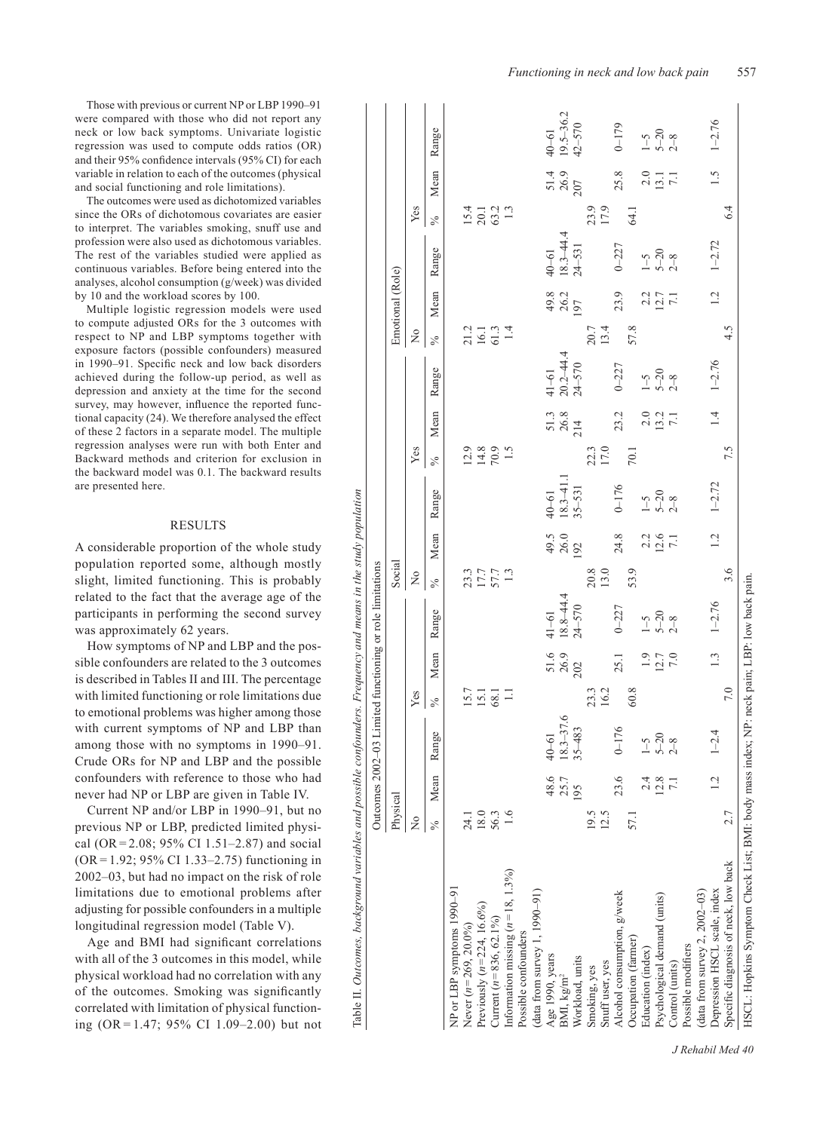Those with previous or current NP or LBP 1990–91 were compared with those who did not report any neck or low back symptoms. Univariate logistic regression was used to compute odds ratios (OR) and their 95% confidence intervals (95% CI) for each variable in relation to each of the outcomes (physical and social functioning and role limitations).

The outcomes were used as dichotomized variables since the ORs of dichotomous covariates are easier to interpret. The variables smoking, snuff use and profession were also used as dichotomous variables. The rest of the variables studied were applied as continuous variables. Before being entered into the analyses, alcohol consumption (g/week) was divided by 10 and the workload scores by 100.

Multiple logistic regression models were used to compute adjusted ORs for the 3 outcomes with respect to NP and LBP symptoms together with exposure factors (possible confounders) measured in 1990–91. Specific neck and low back disorders achieved during the follow-up period, as well as depression and anxiety at the time for the second survey, may however, influence the reported functional capacity (24). We therefore analysed the effect of these 2 factors in a separate model. The multiple regression analyses were run with both Enter and Backward methods and criterion for exclusion in the backward model was 0.1. The backward results are presented here.

# **RESULTS**

A considerable proportion of the whole study population reported some, although mostly slight, limited functioning. This is probably related to the fact that the average age of the participants in performing the second survey was approximately 62 years.

How symptoms of NP and LBP and the possible confounders are related to the 3 outcomes is described in Tables II and III. The percentage with limited functioning or role limitations due to emotional problems was higher among those with current symptoms of NP and LBP than among those with no symptoms in 1990–91. Crude ORs for NP and LBP and the possible confounders with reference to those who had never had NP or LBP are given in Table IV. **EXECTS**<br> **EXECTS**<br> **EXECTS**<br> **EXECTS**<br> **EXECTS**<br> **EXECTS**<br> **EXECTS**<br> **EXECTS**<br> **EXECTS**<br> **EXECTS**<br> **EXECTS**<br> **EXECTS**<br> **EXECTS**<br> **EXECTS**<br> **EXECTS**<br> **EXECTS**<br> **EXECTS**<br> **EXECTS**<br> **EXECTS**<br> **EXECTS**<br> **EXECTS**<br> **EXECTS**<br>

Current NP and/or LBP in 1990–91, but no previous NP or LBP, predicted limited physical (OR = 2.08; 95% CI 1.51–2.87) and social (OR= 1.92; 95% CI 1.33–2.75) functioning in 2002–03, but had no impact on the risk of role limitations due to emotional problems after adjusting for possible confounders in a multiple longitudinal regression model (Table V).

Age and BMI had significant correlations with all of the 3 outcomes in this model, while physical workload had no correlation with any of the outcomes. Smoking was significantly correlated with limitation of physical function-

Outcomes 2002–03 Limited functioning or role limitations Physical Social

Outcomes Physical

2002-03 Limited functioning or role limitations

Social

Emotional (Role)

Emotional (Role)

|                                                                                           | $\frac{1}{2}$ |                 |                                | Yes                        |                     |                                       | $\tilde{z}$         |                                                   |                                                                   | Yes                             |                           |                                        | $\tilde{z}$          |                     |                                | Yes                                |                     |                                |
|-------------------------------------------------------------------------------------------|---------------|-----------------|--------------------------------|----------------------------|---------------------|---------------------------------------|---------------------|---------------------------------------------------|-------------------------------------------------------------------|---------------------------------|---------------------------|----------------------------------------|----------------------|---------------------|--------------------------------|------------------------------------|---------------------|--------------------------------|
|                                                                                           | ℅             | Mean            | Range                          | $\frac{6}{2}$              | Mean                | Range                                 | $\frac{5}{6}$       | Mean                                              | Range                                                             | $\frac{1}{\sqrt{6}}$            | Mean                      | Range                                  | $\frac{1}{\sqrt{6}}$ | Mean                | Range                          | $\frac{1}{\sqrt{6}}$               | Mean                | Range                          |
| NP or LBP symptoms 1990-91                                                                |               |                 |                                |                            |                     |                                       |                     |                                                   |                                                                   |                                 |                           |                                        |                      |                     |                                |                                    |                     |                                |
| Never $(n=269, 20.0\%)$                                                                   | 24.1          |                 |                                |                            |                     |                                       |                     |                                                   |                                                                   |                                 |                           |                                        |                      |                     |                                |                                    |                     |                                |
| Previously $(n=224, 16.6\%)$                                                              | 18.0          |                 |                                | $15.7$<br>$15.1$<br>$68.1$ |                     |                                       |                     |                                                   |                                                                   |                                 |                           |                                        |                      |                     |                                |                                    |                     |                                |
| Current $(n=836, 62.1\%)$                                                                 | 56.3          |                 |                                |                            |                     |                                       | 23.3<br>57.7<br>1.3 |                                                   |                                                                   | 2.3<br>2.3<br>2.5<br>2.5<br>2.5 |                           |                                        |                      |                     |                                | $15.1$<br>$20.2$<br>$1.3$<br>$1.3$ |                     |                                |
| Information missing $(n=18, 1.3\%)$                                                       | 1.6           |                 |                                |                            |                     |                                       |                     |                                                   |                                                                   |                                 |                           |                                        |                      |                     |                                |                                    |                     |                                |
| Possible confounders                                                                      |               |                 |                                |                            |                     |                                       |                     |                                                   |                                                                   |                                 |                           |                                        |                      |                     |                                |                                    |                     |                                |
| (data from survey $1, 1990 - 91$ )                                                        |               |                 |                                |                            |                     |                                       |                     |                                                   |                                                                   |                                 |                           |                                        |                      |                     |                                |                                    |                     |                                |
| Age 1990, years                                                                           |               | 48.6            |                                |                            |                     |                                       |                     |                                                   |                                                                   |                                 |                           |                                        |                      |                     |                                |                                    |                     |                                |
| BMI, kg/m <sup>2</sup>                                                                    |               | 25.7            |                                |                            |                     |                                       |                     |                                                   |                                                                   |                                 |                           |                                        |                      |                     |                                |                                    |                     |                                |
| Workload, units                                                                           |               | 195             | $40-61$<br>18.3-37.6<br>35-483 |                            | 51.6<br>26.9<br>202 | $\frac{41-61}{18.8-44.4}$<br>$24-570$ |                     | $\begin{array}{c} 49.5 \\ 26.0 \\ 92 \end{array}$ | $\begin{array}{c} 40 - 61 \\ 18.3 - 41.1 \\ 35 - 531 \end{array}$ |                                 | $51.3$<br>$26.8$<br>$214$ | $\frac{41-61}{20.2-44.4}$<br>20.2-44.4 |                      | 49.8<br>26.2<br>197 | $40-61$<br>18.3-44.4<br>24-531 |                                    | 51.4<br>26.9<br>207 | $40-61$<br>19.5-36.2<br>42-570 |
| Smoking, yes                                                                              | 19.5          |                 |                                |                            |                     |                                       |                     |                                                   |                                                                   |                                 |                           |                                        |                      |                     |                                |                                    |                     |                                |
| Snuff user, yes                                                                           | 12.5          |                 |                                | 23.3<br>16.2               |                     |                                       | 20.8<br>13.0        |                                                   |                                                                   | 22.3                            |                           |                                        | 20.7<br>13.4         |                     |                                | 23.9<br>17.9                       |                     |                                |
| Alcohol consumption, g/week                                                               |               | 23.6            | $0 - 176$                      |                            | 25.1                | $0 - 227$                             |                     | 24.8                                              |                                                                   |                                 | 23.2                      | $0 - 227$                              |                      | 23.9                | $0 - 227$                      |                                    | 25.8                | $0 - 179$                      |
| Occupation (farmer)                                                                       | 57.1          |                 |                                | 60.8                       |                     |                                       | 53.9                |                                                   | $\begin{bmatrix} 176 \\ -15 \\ -520 \\ 28 \end{bmatrix}$          | 70.1                            |                           |                                        | 57.8                 |                     |                                | 64.1                               |                     |                                |
| Education (index)                                                                         |               |                 |                                |                            |                     |                                       |                     |                                                   |                                                                   |                                 |                           |                                        |                      |                     |                                |                                    |                     |                                |
| Psychological demand (units)                                                              |               | 12.8            | $\frac{1-5}{5-20}$             |                            | $\frac{19}{12.7}$   | $\frac{1-5}{5-20}$                    |                     | $220$<br>$126$<br>7.1                             |                                                                   |                                 | $2.0$<br>$13.7$<br>7.1    | $1 - 5$<br>$-20$<br>$2 - 8$            |                      | $\frac{2.2}{12.7}$  | $\frac{1-5}{5-20}$             |                                    | $\frac{2.0}{13.1}$  | $\frac{1-5}{5-20}$             |
| Control (units)                                                                           |               |                 |                                |                            |                     |                                       |                     |                                                   |                                                                   |                                 |                           |                                        |                      |                     |                                |                                    |                     |                                |
| Possible modifiers                                                                        |               |                 |                                |                            |                     |                                       |                     |                                                   |                                                                   |                                 |                           |                                        |                      |                     |                                |                                    |                     |                                |
| (data from survey 2, $2002-03$ )                                                          |               |                 |                                |                            |                     |                                       |                     |                                                   |                                                                   |                                 |                           |                                        |                      |                     |                                |                                    |                     |                                |
| Depression HSCL scale, index                                                              |               | $\overline{12}$ | $1 - 2.4$                      |                            | $\frac{13}{2}$      | $1 - 2.76$                            |                     | 1.2                                               | $1 - 2.72$                                                        |                                 | $\overline{1.4}$          | $1 - 2.76$                             |                      | 1.2                 | $1 - 2.72$                     |                                    | 1.5                 | $1 - 2.76$                     |
| Specific diagnosis of neck, low back                                                      | 2.7           |                 |                                | 7.0                        |                     |                                       | 3.6                 |                                                   |                                                                   | 7.5                             |                           |                                        | 4.5                  |                     |                                | 6.4                                |                     |                                |
| HSCL: Hopkins Symptom Check List; BMI: body mass index; NP: neck pain; LBP: low back pain |               |                 |                                |                            |                     |                                       |                     |                                                   |                                                                   |                                 |                           |                                        |                      |                     |                                |                                    |                     |                                |
|                                                                                           |               |                 |                                |                            |                     |                                       |                     |                                                   |                                                                   |                                 |                           |                                        |                      |                     |                                |                                    |                     |                                |

*J Rehabil Med 40*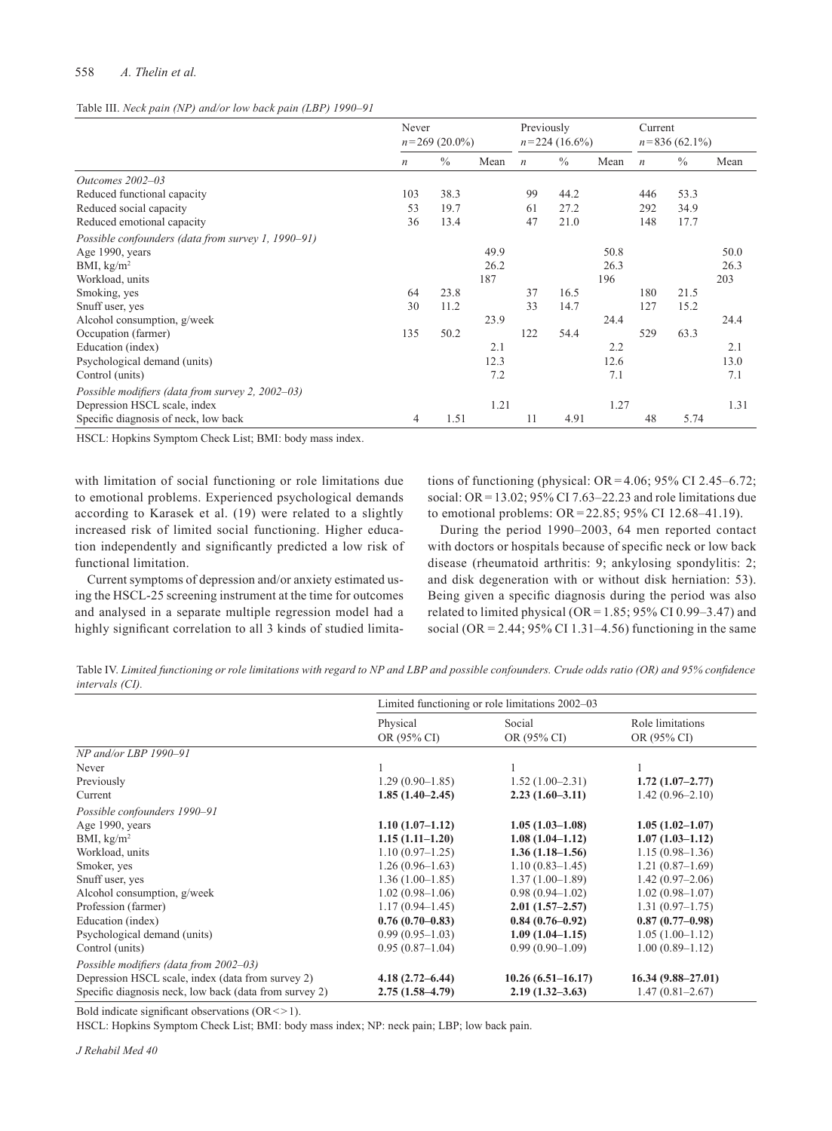# 558 *A. Thelin et al.*

#### Table III. *Neck pain (NP) and/or low back pain (LBP) 1990–91*

|                                                    | Never<br>$n = 269(20.0\%)$ |               |      | Previously<br>$n = 224(16.6\%)$ |               | Current<br>$n = 836(62.1\%)$ |                  |               |      |
|----------------------------------------------------|----------------------------|---------------|------|---------------------------------|---------------|------------------------------|------------------|---------------|------|
|                                                    | $\boldsymbol{n}$           | $\frac{0}{0}$ | Mean | $\boldsymbol{n}$                | $\frac{0}{0}$ | Mean                         | $\boldsymbol{n}$ | $\frac{0}{0}$ | Mean |
| Outcomes 2002-03                                   |                            |               |      |                                 |               |                              |                  |               |      |
| Reduced functional capacity                        | 103                        | 38.3          |      | 99                              | 44.2          |                              | 446              | 53.3          |      |
| Reduced social capacity                            | 53                         | 19.7          |      | 61                              | 27.2          |                              | 292              | 34.9          |      |
| Reduced emotional capacity                         | 36                         | 13.4          |      | 47                              | 21.0          |                              | 148              | 17.7          |      |
| Possible confounders (data from survey 1, 1990–91) |                            |               |      |                                 |               |                              |                  |               |      |
| Age 1990, years                                    |                            |               | 49.9 |                                 |               | 50.8                         |                  |               | 50.0 |
| BMI, $\text{kg/m}^2$                               |                            |               | 26.2 |                                 |               | 26.3                         |                  |               | 26.3 |
| Workload, units                                    |                            |               | 187  |                                 |               | 196                          |                  |               | 203  |
| Smoking, yes                                       | 64                         | 23.8          |      | 37                              | 16.5          |                              | 180              | 21.5          |      |
| Snuff user, yes                                    | 30                         | 11.2          |      | 33                              | 14.7          |                              | 127              | 15.2          |      |
| Alcohol consumption, g/week                        |                            |               | 23.9 |                                 |               | 24.4                         |                  |               | 24.4 |
| Occupation (farmer)                                | 135                        | 50.2          |      | 122                             | 54.4          |                              | 529              | 63.3          |      |
| Education (index)                                  |                            |               | 2.1  |                                 |               | 2.2                          |                  |               | 2.1  |
| Psychological demand (units)                       |                            |               | 12.3 |                                 |               | 12.6                         |                  |               | 13.0 |
| Control (units)                                    |                            |               | 7.2  |                                 |               | 7.1                          |                  |               | 7.1  |
| Possible modifiers (data from survey 2, 2002–03)   |                            |               |      |                                 |               |                              |                  |               |      |
| Depression HSCL scale, index                       |                            |               | 1.21 |                                 |               | 1.27                         |                  |               | 1.31 |
| Specific diagnosis of neck, low back               | 4                          | 1.51          |      | 11                              | 4.91          |                              | 48               | 5.74          |      |

HSCL: Hopkins Symptom Check List; BMI: body mass index.

with limitation of social functioning or role limitations due to emotional problems. Experienced psychological demands according to Karasek et al. (19) were related to a slightly increased risk of limited social functioning. Higher education independently and significantly predicted a low risk of functional limitation.

Current symptoms of depression and/or anxiety estimated using the HSCL-25 screening instrument at the time for outcomes and analysed in a separate multiple regression model had a highly significant correlation to all 3 kinds of studied limitations of functioning (physical:  $OR = 4.06$ ; 95% CI 2.45–6.72; social: OR =  $13.02$ ; 95% CI 7.63–22.23 and role limitations due to emotional problems: OR= 22.85; 95% CI 12.68–41.19).

During the period 1990–2003, 64 men reported contact with doctors or hospitals because of specific neck or low back disease (rheumatoid arthritis: 9; ankylosing spondylitis: 2; and disk degeneration with or without disk herniation: 53). Being given a specific diagnosis during the period was also related to limited physical ( $OR = 1.85$ ; 95% CI 0.99–3.47) and social (OR =  $2.44$ ; 95% CI 1.31–4.56) functioning in the same

Table IV. *Limited functioning or role limitations with regard to NP and LBP and possible confounders. Crude odds ratio (OR) and 95% confidence intervals (CI).*

| Physical<br>OR (95% CI) | Social<br>OR (95% CI) | Role limitations<br>OR (95% CI)                                        |
|-------------------------|-----------------------|------------------------------------------------------------------------|
|                         |                       |                                                                        |
|                         |                       |                                                                        |
| $1.29(0.90-1.85)$       | $1.52(1.00-2.31)$     | $1.72(1.07-2.77)$                                                      |
| $1.85(1.40-2.45)$       | $2.23(1.60-3.11)$     | $1.42(0.96-2.10)$                                                      |
|                         |                       |                                                                        |
| $1.10(1.07-1.12)$       | $1.05(1.03-1.08)$     | $1.05(1.02 - 1.07)$                                                    |
| $1.15(1.11-1.20)$       | $1.08(1.04 - 1.12)$   | $1.07(1.03 - 1.12)$                                                    |
| $1.10(0.97-1.25)$       | $1.36(1.18-1.56)$     | $1.15(0.98-1.36)$                                                      |
| $1.26(0.96-1.63)$       | $1.10(0.83 - 1.45)$   | $1.21(0.87-1.69)$                                                      |
| $1.36(1.00-1.85)$       | $1.37(1.00-1.89)$     | $1.42(0.97-2.06)$                                                      |
| $1.02(0.98-1.06)$       | $0.98(0.94-1.02)$     | $1.02(0.98-1.07)$                                                      |
| $1.17(0.94 - 1.45)$     | $2.01(1.57-2.57)$     | $1.31(0.97-1.75)$                                                      |
| $0.76(0.70-0.83)$       | $0.84(0.76-0.92)$     | $0.87(0.77-0.98)$                                                      |
| $0.99(0.95-1.03)$       | $1.09(1.04-1.15)$     | $1.05(1.00-1.12)$                                                      |
| $0.95(0.87-1.04)$       | $0.99(0.90-1.09)$     | $1.00(0.89 - 1.12)$                                                    |
| $4.18(2.72 - 6.44)$     | $10.26(6.51 - 16.17)$ | $16.34(9.88 - 27.01)$<br>$1.47(0.81 - 2.67)$                           |
|                         | $2.75(1.58-4.79)$     | Limited functioning or role limitations 2002–03<br>$2.19(1.32 - 3.63)$ |

Bold indicate significant observations  $(OR \le 1)$ .

HSCL: Hopkins Symptom Check List; BMI: body mass index; NP: neck pain; LBP; low back pain.

*J Rehabil Med 40*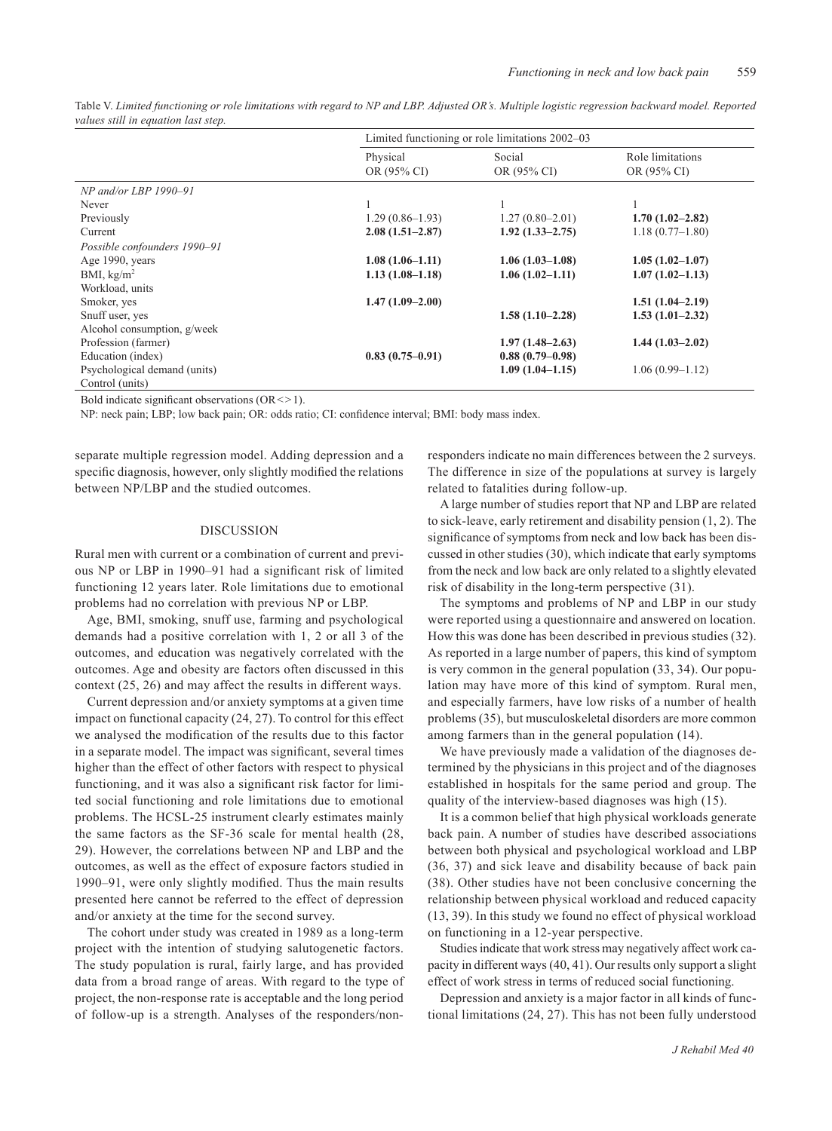|                              | Limited functioning or role limitations 2002–03 |                       |                                 |
|------------------------------|-------------------------------------------------|-----------------------|---------------------------------|
|                              | Physical<br>OR (95% CI)                         | Social<br>OR (95% CI) | Role limitations<br>OR (95% CI) |
| $NP$ and/or LBP 1990-91      |                                                 |                       |                                 |
| Never                        |                                                 |                       |                                 |
| Previously                   | $1.29(0.86-1.93)$                               | $1.27(0.80-2.01)$     | $1.70(1.02 - 2.82)$             |
| Current                      | $2.08(1.51 - 2.87)$                             | $1.92(1.33 - 2.75)$   | $1.18(0.77-1.80)$               |
| Possible confounders 1990–91 |                                                 |                       |                                 |
| Age 1990, years              | $1.08(1.06-1.11)$                               | $1.06(1.03-1.08)$     | $1.05(1.02 - 1.07)$             |
| BMI, $kg/m2$                 | $1.13(1.08-1.18)$                               | $1.06(1.02 - 1.11)$   | $1.07(1.02 - 1.13)$             |
| Workload, units              |                                                 |                       |                                 |
| Smoker, yes                  | $1.47(1.09-2.00)$                               |                       | $1.51(1.04-2.19)$               |
| Snuff user, yes              |                                                 | $1.58(1.10-2.28)$     | $1.53(1.01-2.32)$               |
| Alcohol consumption, g/week  |                                                 |                       |                                 |
| Profession (farmer)          |                                                 | $1.97(1.48-2.63)$     | $1.44(1.03-2.02)$               |
| Education (index)            | $0.83(0.75-0.91)$                               | $0.88(0.79-0.98)$     |                                 |
| Psychological demand (units) |                                                 | $1.09(1.04-1.15)$     | $1.06(0.99 - 1.12)$             |
| Control (units)              |                                                 |                       |                                 |

Table V. *Limited functioning or role limitations with regard to NP and LBP. Adjusted OR's. Multiple logistic regression backward model. Reported values still in equation last step.*

Bold indicate significant observations  $(OR \le 1)$ .

NP: neck pain; LBP; low back pain; OR: odds ratio; CI: confidence interval; BMI: body mass index.

separate multiple regression model. Adding depression and a specific diagnosis, however, only slightly modified the relations between NP/LBP and the studied outcomes.

### Discussion

Rural men with current or a combination of current and previous NP or LBP in 1990–91 had a significant risk of limited functioning 12 years later. Role limitations due to emotional problems had no correlation with previous NP or LBP.

Age, BMI, smoking, snuff use, farming and psychological demands had a positive correlation with 1, 2 or all 3 of the outcomes, and education was negatively correlated with the outcomes. Age and obesity are factors often discussed in this context (25, 26) and may affect the results in different ways.

Current depression and/or anxiety symptoms at a given time impact on functional capacity (24, 27). To control for this effect we analysed the modification of the results due to this factor in a separate model. The impact was significant, several times higher than the effect of other factors with respect to physical functioning, and it was also a significant risk factor for limited social functioning and role limitations due to emotional problems. The HCSL-25 instrument clearly estimates mainly the same factors as the SF-36 scale for mental health (28, 29). However, the correlations between NP and LBP and the outcomes, as well as the effect of exposure factors studied in 1990–91, were only slightly modified. Thus the main results presented here cannot be referred to the effect of depression and/or anxiety at the time for the second survey.

The cohort under study was created in 1989 as a long-term project with the intention of studying salutogenetic factors. The study population is rural, fairly large, and has provided data from a broad range of areas. With regard to the type of project, the non-response rate is acceptable and the long period of follow-up is a strength. Analyses of the responders/nonresponders indicate no main differences between the 2 surveys. The difference in size of the populations at survey is largely related to fatalities during follow-up.

A large number of studies report that NP and LBP are related to sick-leave, early retirement and disability pension (1, 2). The significance of symptoms from neck and low back has been discussed in other studies (30), which indicate that early symptoms from the neck and low back are only related to a slightly elevated risk of disability in the long-term perspective (31).

The symptoms and problems of NP and LBP in our study were reported using a questionnaire and answered on location. How this was done has been described in previous studies (32). As reported in a large number of papers, this kind of symptom is very common in the general population (33, 34). Our population may have more of this kind of symptom. Rural men, and especially farmers, have low risks of a number of health problems (35), but musculoskeletal disorders are more common among farmers than in the general population (14).

We have previously made a validation of the diagnoses determined by the physicians in this project and of the diagnoses established in hospitals for the same period and group. The quality of the interview-based diagnoses was high (15).

It is a common belief that high physical workloads generate back pain. A number of studies have described associations between both physical and psychological workload and LBP (36, 37) and sick leave and disability because of back pain (38). Other studies have not been conclusive concerning the relationship between physical workload and reduced capacity (13, 39). In this study we found no effect of physical workload on functioning in a 12-year perspective.

Studies indicate that work stress may negatively affect work capacity in different ways (40, 41). Our results only support a slight effect of work stress in terms of reduced social functioning.

Depression and anxiety is a major factor in all kinds of functional limitations (24, 27). This has not been fully understood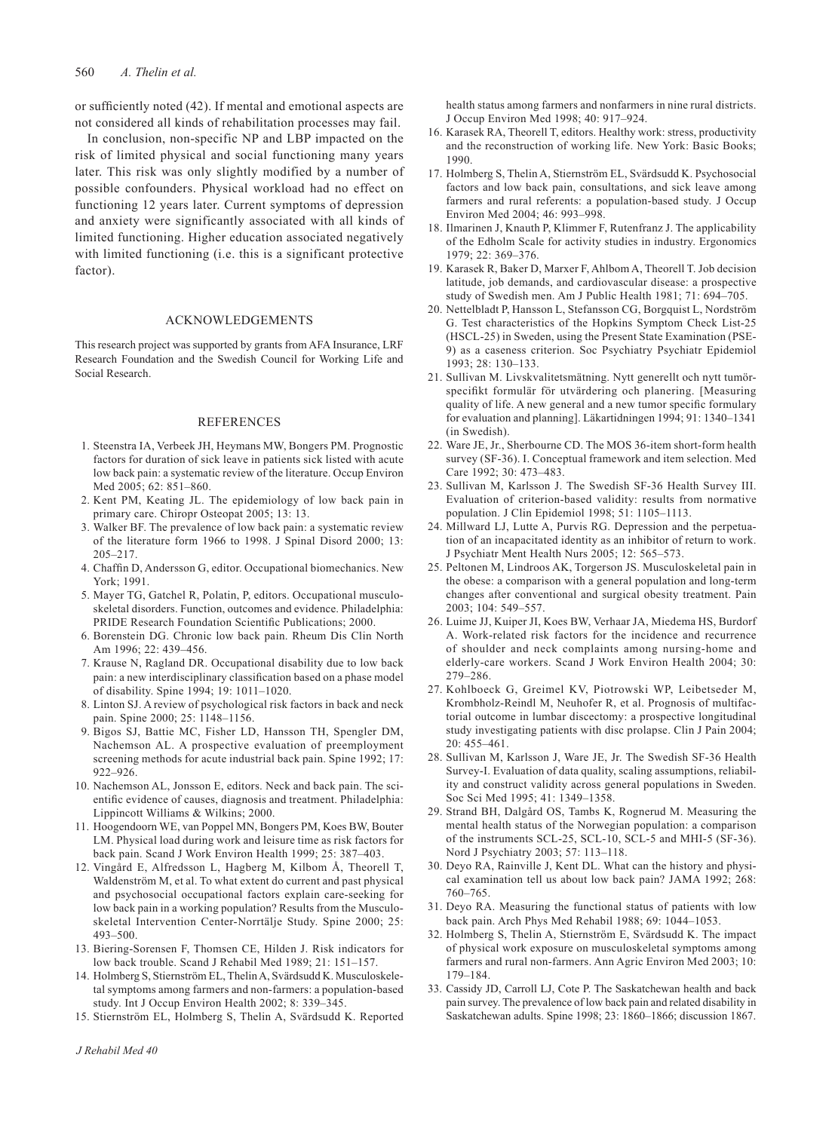or sufficiently noted (42). If mental and emotional aspects are not considered all kinds of rehabilitation processes may fail.

In conclusion, non-specific NP and LBP impacted on the risk of limited physical and social functioning many years later. This risk was only slightly modified by a number of possible confounders. Physical workload had no effect on functioning 12 years later. Current symptoms of depression and anxiety were significantly associated with all kinds of limited functioning. Higher education associated negatively with limited functioning (i.e. this is a significant protective factor).

### Acknowledgements

This research project was supported by grants from AFA Insurance, LRF Research Foundation and the Swedish Council for Working Life and Social Research.

### **REFERENCES**

- 1. Steenstra IA, Verbeek JH, Heymans MW, Bongers PM. Prognostic factors for duration of sick leave in patients sick listed with acute low back pain: a systematic review of the literature. Occup Environ Med 2005; 62: 851–860.
- 2. Kent PM, Keating JL. The epidemiology of low back pain in primary care. Chiropr Osteopat 2005; 13: 13.
- 3. Walker BF. The prevalence of low back pain: a systematic review of the literature form 1966 to 1998. J Spinal Disord 2000; 13: 205–217.
- 4. Chaffin D, Andersson G, editor. Occupational biomechanics. New York; 1991.
- 5. Mayer TG, Gatchel R, Polatin, P, editors. Occupational musculoskeletal disorders. Function, outcomes and evidence. Philadelphia: PRIDE Research Foundation Scientific Publications; 2000.
- 6. Borenstein DG. Chronic low back pain. Rheum Dis Clin North Am 1996; 22: 439–456.
- 7. Krause N, Ragland DR. Occupational disability due to low back pain: a new interdisciplinary classification based on a phase model of disability. Spine 1994; 19: 1011–1020.
- 8. Linton SJ. A review of psychological risk factors in back and neck pain. Spine 2000; 25: 1148–1156.
- 9. Bigos SJ, Battie MC, Fisher LD, Hansson TH, Spengler DM, Nachemson AL. A prospective evaluation of preemployment screening methods for acute industrial back pain. Spine 1992; 17: 922–926.
- 10. Nachemson AL, Jonsson E, editors. Neck and back pain. The scientific evidence of causes, diagnosis and treatment. Philadelphia: Lippincott Williams & Wilkins; 2000.
- 11. Hoogendoorn WE, van Poppel MN, Bongers PM, Koes BW, Bouter LM. Physical load during work and leisure time as risk factors for back pain. Scand J Work Environ Health 1999; 25: 387–403.
- 12. Vingård E, Alfredsson L, Hagberg M, Kilbom Å, Theorell T, Waldenström M, et al. To what extent do current and past physical and psychosocial occupational factors explain care-seeking for low back pain in a working population? Results from the Musculoskeletal Intervention Center-Norrtälje Study. Spine 2000; 25: 493–500.
- 13. Biering-Sorensen F, Thomsen CE, Hilden J. Risk indicators for low back trouble. Scand J Rehabil Med 1989; 21: 151–157.
- 14. Holmberg S, Stiernström EL, Thelin A, Svärdsudd K. Musculoskeletal symptoms among farmers and non-farmers: a population-based study. Int J Occup Environ Health 2002; 8: 339–345.
- 15. Stiernström EL, Holmberg S, Thelin A, Svärdsudd K. Reported

health status among farmers and nonfarmers in nine rural districts. J Occup Environ Med 1998; 40: 917–924.

- 16. Karasek RA, Theorell T, editors. Healthy work: stress, productivity and the reconstruction of working life. New York: Basic Books; 1990.
- 17. Holmberg S, Thelin A, Stiernström EL, Svärdsudd K. Psychosocial factors and low back pain, consultations, and sick leave among farmers and rural referents: a population-based study. J Occup Environ Med 2004; 46: 993–998.
- 18. Ilmarinen J, Knauth P, Klimmer F, Rutenfranz J. The applicability of the Edholm Scale for activity studies in industry. Ergonomics 1979; 22: 369–376.
- 19. Karasek R, Baker D, Marxer F, Ahlbom A, Theorell T. Job decision latitude, job demands, and cardiovascular disease: a prospective study of Swedish men. Am J Public Health 1981; 71: 694–705.
- 20. Nettelbladt P, Hansson L, Stefansson CG, Borgquist L, Nordström G. Test characteristics of the Hopkins Symptom Check List-25 (HSCL-25) in Sweden, using the Present State Examination (PSE-9) as a caseness criterion. Soc Psychiatry Psychiatr Epidemiol 1993; 28: 130–133.
- 21. Sullivan M. Livskvalitetsmätning. Nytt generellt och nytt tumörspecifikt formulär för utvärdering och planering. [Measuring quality of life. A new general and a new tumor specific formulary for evaluation and planning]. Läkartidningen 1994; 91: 1340–1341 (in Swedish).
- 22. Ware JE, Jr., Sherbourne CD. The MOS 36-item short-form health survey (SF-36). I. Conceptual framework and item selection. Med Care 1992; 30: 473–483.
- 23. Sullivan M, Karlsson J. The Swedish SF-36 Health Survey III. Evaluation of criterion-based validity: results from normative population. J Clin Epidemiol 1998; 51: 1105–1113.
- 24. Millward LJ, Lutte A, Purvis RG. Depression and the perpetuation of an incapacitated identity as an inhibitor of return to work. J Psychiatr Ment Health Nurs 2005; 12: 565–573.
- 25. Peltonen M, Lindroos AK, Torgerson JS. Musculoskeletal pain in the obese: a comparison with a general population and long-term changes after conventional and surgical obesity treatment. Pain  $2003:104:549-557$
- 26. Luime JJ, Kuiper JI, Koes BW, Verhaar JA, Miedema HS, Burdorf A. Work-related risk factors for the incidence and recurrence of shoulder and neck complaints among nursing-home and elderly-care workers. Scand J Work Environ Health 2004; 30: 279–286.
- 27. Kohlboeck G, Greimel KV, Piotrowski WP, Leibetseder M, Krombholz-Reindl M, Neuhofer R, et al. Prognosis of multifactorial outcome in lumbar discectomy: a prospective longitudinal study investigating patients with disc prolapse. Clin J Pain 2004; 20: 455–461.
- 28. Sullivan M, Karlsson J, Ware JE, Jr. The Swedish SF-36 Health Survey-I. Evaluation of data quality, scaling assumptions, reliability and construct validity across general populations in Sweden. Soc Sci Med 1995; 41: 1349–1358.
- 29. Strand BH, Dalgård OS, Tambs K, Rognerud M. Measuring the mental health status of the Norwegian population: a comparison of the instruments SCL-25, SCL-10, SCL-5 and MHI-5 (SF-36). Nord J Psychiatry 2003; 57: 113–118.
- 30. Deyo RA, Rainville J, Kent DL. What can the history and physical examination tell us about low back pain? JAMA 1992; 268: 760–765.
- 31. Deyo RA. Measuring the functional status of patients with low back pain. Arch Phys Med Rehabil 1988; 69: 1044–1053.
- 32. Holmberg S, Thelin A, Stiernström E, Svärdsudd K. The impact of physical work exposure on musculoskeletal symptoms among farmers and rural non-farmers. Ann Agric Environ Med 2003; 10: 179–184.
- 33. Cassidy JD, Carroll LJ, Cote P. The Saskatchewan health and back pain survey. The prevalence of low back pain and related disability in Saskatchewan adults. Spine 1998; 23: 1860–1866; discussion 1867.